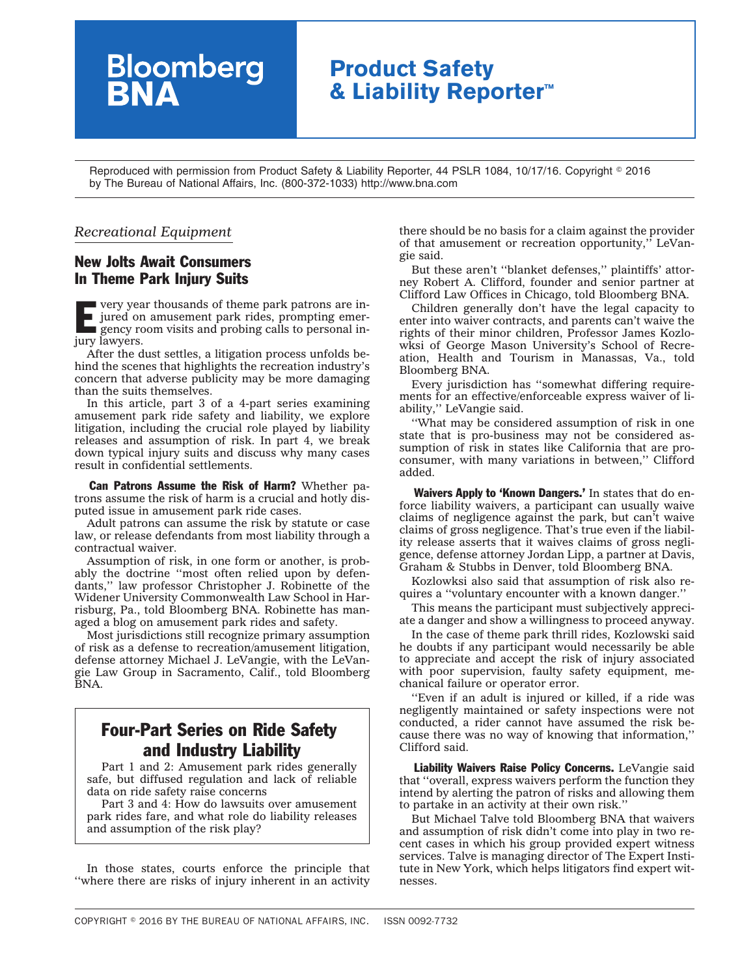# **Product Safety & Liability Reporter™**

Reproduced with permission from Product Safety & Liability Reporter, 44 PSLR 1084, 10/17/16. Copyright © 2016 by The Bureau of National Affairs, Inc. (800-372-1033) http://www.bna.com

#### *Recreational Equipment*

### New Jolts Await Consumers In Theme Park Injury Suits

**Bloomberg**<br>**BNA** 

**EXECUTE VERY YEAR THEORY SET VERY SET USE A VALUATION CONTROLLER VALUE AND SET USE A VALUATION CONTROLLER VALUE AND SET USE A VALUE AND THE VALUE AND SET USE A VALUE AND THE VALUE AND SET USE A VALUE AND SET USE A VALUE A** jured on amusement park rides, prompting emergency room visits and probing calls to personal injury lawyers.

After the dust settles, a litigation process unfolds behind the scenes that highlights the recreation industry's concern that adverse publicity may be more damaging than the suits themselves.

In this article, part 3 of a 4-part series examining amusement park ride safety and liability, we explore litigation, including the crucial role played by liability releases and assumption of risk. In part 4, we break down typical injury suits and discuss why many cases result in confidential settlements.

Can Patrons Assume the Risk of Harm? Whether patrons assume the risk of harm is a crucial and hotly disputed issue in amusement park ride cases.

Adult patrons can assume the risk by statute or case law, or release defendants from most liability through a contractual waiver.

Assumption of risk, in one form or another, is probably the doctrine ''most often relied upon by defendants,'' law professor Christopher J. Robinette of the Widener University Commonwealth Law School in Harrisburg, Pa., told Bloomberg BNA. Robinette has managed a [blog](http://masstort.org/wordpress/) on amusement park rides and safety.

Most jurisdictions still recognize primary assumption of risk as a defense to recreation/amusement litigation, defense attorney Michael J. LeVangie, with the LeVangie Law Group in Sacramento, Calif., told Bloomberg BNA.

## Four-Part Series on Ride Safety and Industry Liability

Part 1 and 2: Amusement park rides generally safe, but diffused regulation and lack of reliable data on ride safety raise concerns

Part 3 and 4: How do lawsuits over amusement park rides fare, and what role do liability releases and assumption of the risk play?

In those states, courts enforce the principle that ''where there are risks of injury inherent in an activity there should be no basis for a claim against the provider of that amusement or recreation opportunity,'' LeVangie said.

But these aren't ''blanket defenses,'' plaintiffs' attorney Robert A. Clifford, founder and senior partner at Clifford Law Offices in Chicago, told Bloomberg BNA.

Children generally don't have the legal capacity to enter into waiver contracts, and parents can't waive the rights of their minor children, Professor James Kozlowksi of George Mason University's School of Recreation, Health and Tourism in Manassas, Va., told Bloomberg BNA.

Every jurisdiction has ''somewhat differing requirements for an effective/enforceable express waiver of liability,'' LeVangie said.

''What may be considered assumption of risk in one state that is pro-business may not be considered assumption of risk in states like California that are proconsumer, with many variations in between,'' Clifford added.

Waivers Apply to 'Known Dangers.' In states that do enforce liability waivers, a participant can usually waive claims of negligence against the park, but can't waive claims of gross negligence. That's true even if the liability release asserts that it waives claims of gross negligence, defense attorney Jordan Lipp, a partner at Davis, Graham & Stubbs in Denver, told Bloomberg BNA.

Kozlowksi also said that assumption of risk also requires a ''voluntary encounter with a known danger.''

This means the participant must subjectively appreciate a danger and show a willingness to proceed anyway.

In the case of theme park thrill rides, Kozlowski said he doubts if any participant would necessarily be able to appreciate and accept the risk of injury associated with poor supervision, faulty safety equipment, mechanical failure or operator error.

''Even if an adult is injured or killed, if a ride was negligently maintained or safety inspections were not conducted, a rider cannot have assumed the risk because there was no way of knowing that information,'' Clifford said.

Liability Waivers Raise Policy Concerns. LeVangie said that ''overall, express waivers perform the function they intend by alerting the patron of risks and allowing them to partake in an activity at their own risk.''

But Michael Talve told Bloomberg BNA that waivers and assumption of risk didn't come into play in two recent cases in which his group provided expert witness services. Talve is managing director of The Expert Institute in New York, which helps litigators find expert witnesses.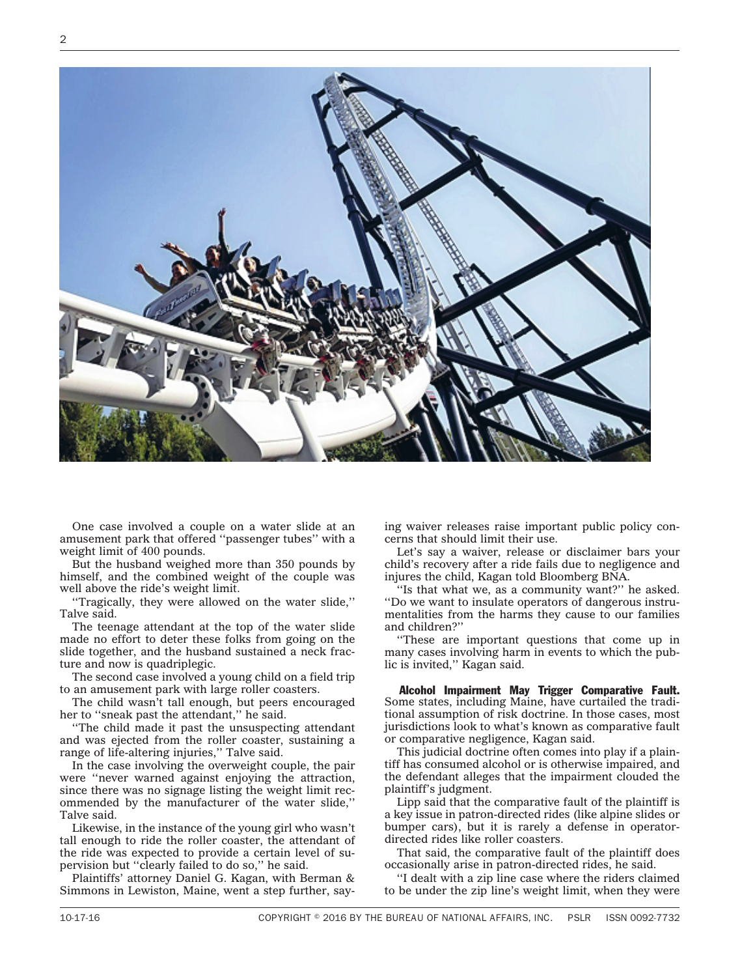

One case involved a couple on a water slide at an amusement park that offered ''passenger tubes'' with a weight limit of 400 pounds.

But the husband weighed more than 350 pounds by himself, and the combined weight of the couple was well above the ride's weight limit.

''Tragically, they were allowed on the water slide,'' Talve said.

The teenage attendant at the top of the water slide made no effort to deter these folks from going on the slide together, and the husband sustained a neck fracture and now is quadriplegic.

The second case involved a young child on a field trip to an amusement park with large roller coasters.

The child wasn't tall enough, but peers encouraged her to ''sneak past the attendant,'' he said.

''The child made it past the unsuspecting attendant and was ejected from the roller coaster, sustaining a range of life-altering injuries,'' Talve said.

In the case involving the overweight couple, the pair were ''never warned against enjoying the attraction, since there was no signage listing the weight limit recommended by the manufacturer of the water slide,'' Talve said.

Likewise, in the instance of the young girl who wasn't tall enough to ride the roller coaster, the attendant of the ride was expected to provide a certain level of supervision but ''clearly failed to do so,'' he said.

Plaintiffs' attorney Daniel G. Kagan, with Berman & Simmons in Lewiston, Maine, went a step further, saying waiver releases raise important public policy concerns that should limit their use.

Let's say a waiver, release or disclaimer bars your child's recovery after a ride fails due to negligence and injures the child, Kagan told Bloomberg BNA.

''Is that what we, as a community want?'' he asked. ''Do we want to insulate operators of dangerous instrumentalities from the harms they cause to our families and children?''

''These are important questions that come up in many cases involving harm in events to which the public is invited,'' Kagan said.

Alcohol Impairment May Trigger Comparative Fault. Some states, including Maine, have curtailed the traditional assumption of risk doctrine. In those cases, most jurisdictions look to what's known as comparative fault or comparative negligence, Kagan said.

This judicial doctrine often comes into play if a plaintiff has consumed alcohol or is otherwise impaired, and the defendant alleges that the impairment clouded the plaintiff's judgment.

Lipp said that the comparative fault of the plaintiff is a key issue in patron-directed rides (like alpine slides or bumper cars), but it is rarely a defense in operatordirected rides like roller coasters.

That said, the comparative fault of the plaintiff does occasionally arise in patron-directed rides, he said.

''I dealt with a zip line case where the riders claimed to be under the zip line's weight limit, when they were